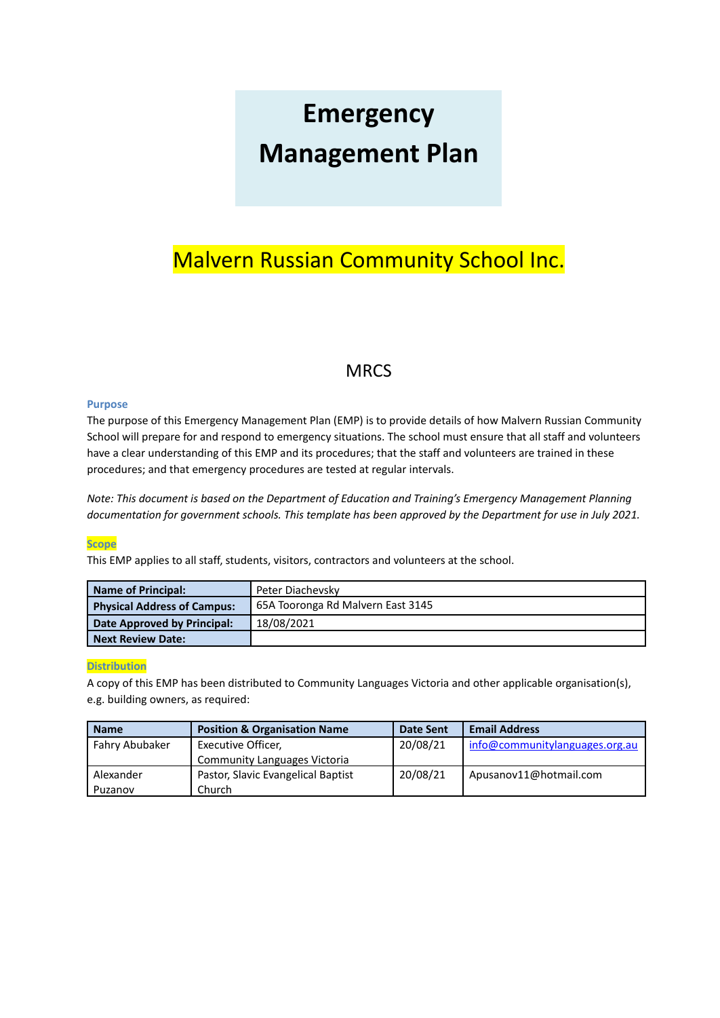# **Emergency Management Plan**

## Malvern Russian Community School Inc.

## **MRCS**

#### **Purpose**

The purpose of this Emergency Management Plan (EMP) is to provide details of how Malvern Russian Community School will prepare for and respond to emergency situations. The school must ensure that all staff and volunteers have a clear understanding of this EMP and its procedures; that the staff and volunteers are trained in these procedures; and that emergency procedures are tested at regular intervals.

*Note: This document is based on the Department of Education and Training's Emergency Management Planning* documentation for government schools. This template has been approved by the Department for use in July 2021.

#### **Scope**

This EMP applies to all staff, students, visitors, contractors and volunteers at the school.

| Name of Principal:                 | Peter Diachevsky                  |  |
|------------------------------------|-----------------------------------|--|
| <b>Physical Address of Campus:</b> | 65A Tooronga Rd Malvern East 3145 |  |
| Date Approved by Principal:        | 18/08/2021                        |  |
| l Next Review Date:                |                                   |  |

#### **Distribution**

A copy of this EMP has been distributed to Community Languages Victoria and other applicable organisation(s), e.g. building owners, as required:

| <b>Name</b>    | <b>Position &amp; Organisation Name</b> | <b>Date Sent</b> | <b>Email Address</b>           |
|----------------|-----------------------------------------|------------------|--------------------------------|
| Fahry Abubaker | Executive Officer,                      | 20/08/21         | info@communitylanguages.org.au |
|                | <b>Community Languages Victoria</b>     |                  |                                |
| Alexander      | Pastor, Slavic Evangelical Baptist      | 20/08/21         | Apusanov11@hotmail.com         |
| Puzanov        | Church                                  |                  |                                |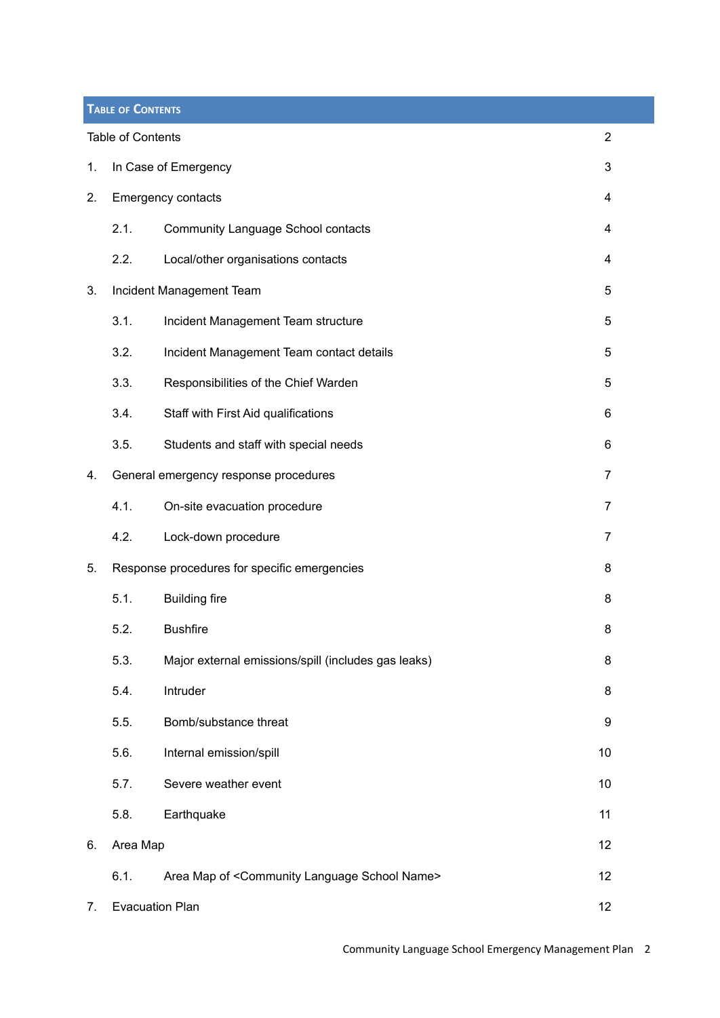<span id="page-1-0"></span>

|    | <b>TABLE OF CONTENTS</b> |                                                                   |                |
|----|--------------------------|-------------------------------------------------------------------|----------------|
|    | <b>Table of Contents</b> |                                                                   | $\overline{2}$ |
| 1. |                          | In Case of Emergency                                              | 3              |
| 2. |                          | Emergency contacts                                                | 4              |
|    | 2.1.                     | <b>Community Language School contacts</b>                         | 4              |
|    | 2.2.                     | Local/other organisations contacts                                | 4              |
| 3. |                          | Incident Management Team                                          | 5              |
|    | 3.1.                     | Incident Management Team structure                                | 5              |
|    | 3.2.                     | Incident Management Team contact details                          | 5              |
|    | 3.3.                     | Responsibilities of the Chief Warden                              | 5              |
|    | 3.4.                     | Staff with First Aid qualifications                               | 6              |
|    | 3.5.                     | Students and staff with special needs                             | 6              |
| 4. |                          | General emergency response procedures                             | 7              |
|    | 4.1.                     | On-site evacuation procedure                                      | $\overline{7}$ |
|    | 4.2.                     | Lock-down procedure                                               | 7              |
| 5. |                          | Response procedures for specific emergencies                      | 8              |
|    | 5.1.                     | <b>Building fire</b>                                              | 8              |
|    | 5.2.                     | <b>Bushfire</b>                                                   | 8              |
|    | 5.3.                     | Major external emissions/spill (includes gas leaks)               | 8              |
|    | 5.4.                     | Intruder                                                          | 8              |
|    | 5.5.                     | Bomb/substance threat                                             | 9              |
|    | 5.6.                     | Internal emission/spill                                           | 10             |
|    | 5.7.                     | Severe weather event                                              | 10             |
|    | 5.8.                     | Earthquake                                                        | 11             |
| 6. | Area Map                 |                                                                   | 12             |
|    | 6.1.                     | Area Map of <community language="" name="" school=""></community> | 12             |
| 7. | <b>Evacuation Plan</b>   |                                                                   | 12             |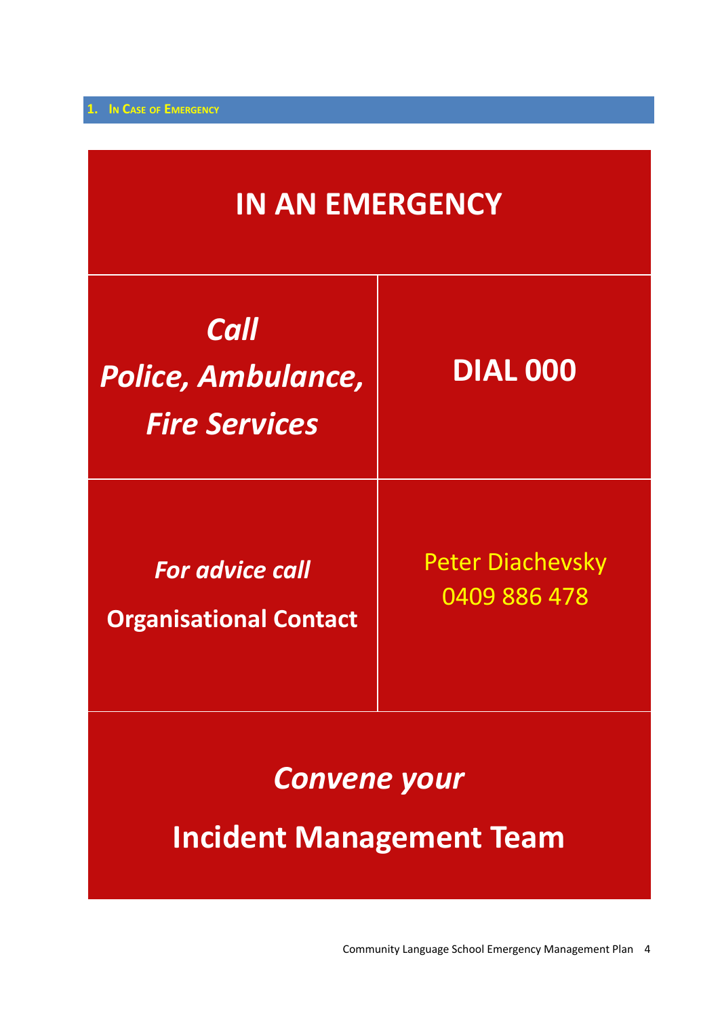<span id="page-3-0"></span>

| <b>IN AN EMERGENCY</b>                                    |                                         |  |  |  |
|-----------------------------------------------------------|-----------------------------------------|--|--|--|
| <b>Call</b><br>Police, Ambulance,<br><b>Fire Services</b> | <b>DIAL 000</b>                         |  |  |  |
| <b>For advice call</b><br><b>Organisational Contact</b>   | <b>Peter Diachevsky</b><br>0409 886 478 |  |  |  |
| <b>Convene your</b><br><b>Incident Management Team</b>    |                                         |  |  |  |

Community Language School Emergency Management Plan 4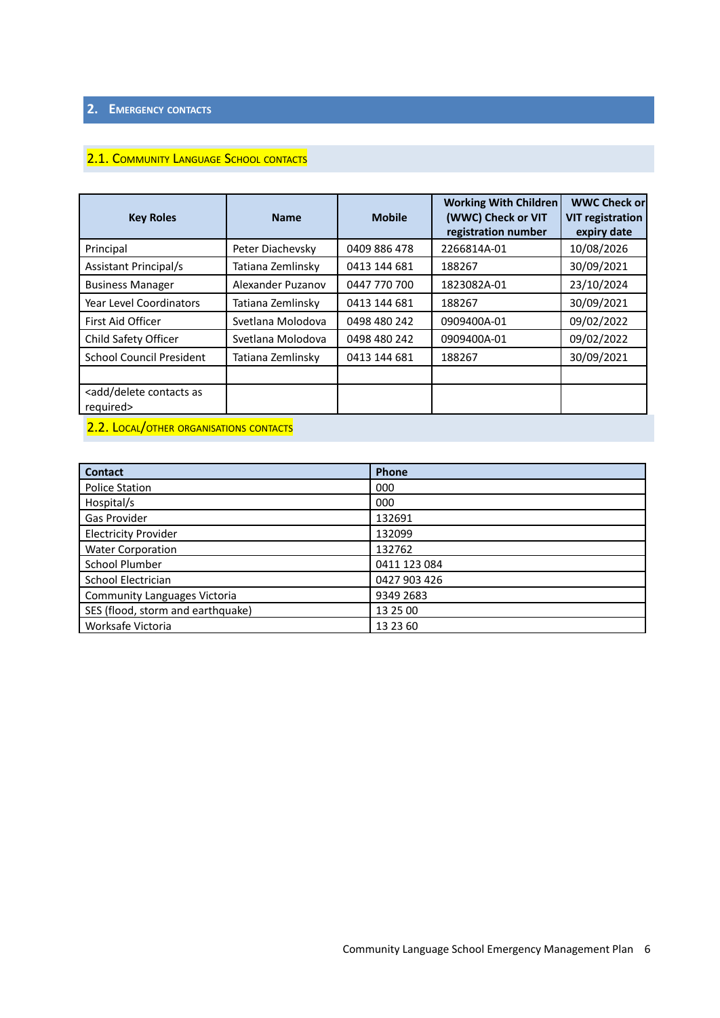## <span id="page-5-1"></span><span id="page-5-0"></span>**2. EMERGENCY CONTACTS**

## 2.1. COMMUNITY LANGUAGE SCHOOL CONTACTS

| <b>Key Roles</b>                                       | <b>Name</b>       | <b>Mobile</b> | <b>Working With Children</b><br>(WWC) Check or VIT<br>registration number | <b>WWC Check or</b><br><b>VIT registration</b><br>expiry date |
|--------------------------------------------------------|-------------------|---------------|---------------------------------------------------------------------------|---------------------------------------------------------------|
| Principal                                              | Peter Diachevsky  | 0409 886 478  | 2266814A-01                                                               | 10/08/2026                                                    |
| <b>Assistant Principal/s</b>                           | Tatiana Zemlinsky | 0413 144 681  | 188267                                                                    | 30/09/2021                                                    |
| <b>Business Manager</b>                                | Alexander Puzanov | 0447 770 700  | 1823082A-01                                                               | 23/10/2024                                                    |
| <b>Year Level Coordinators</b>                         | Tatiana Zemlinsky | 0413 144 681  | 188267                                                                    | 30/09/2021                                                    |
| First Aid Officer                                      | Svetlana Molodova | 0498 480 242  | 0909400A-01                                                               | 09/02/2022                                                    |
| Child Safety Officer                                   | Svetlana Molodova | 0498 480 242  | 0909400A-01                                                               | 09/02/2022                                                    |
| <b>School Council President</b>                        | Tatiana Zemlinsky | 0413 144 681  | 188267                                                                    | 30/09/2021                                                    |
|                                                        |                   |               |                                                                           |                                                               |
| <add as<br="" contacts="" delete="">required&gt;</add> |                   |               |                                                                           |                                                               |

## <span id="page-5-2"></span>2.2. LOCAL/OTHER ORGANISATIONS CONTACTS

| <b>Contact</b>                      | Phone        |
|-------------------------------------|--------------|
| <b>Police Station</b>               | 000          |
| Hospital/s                          | 000          |
| Gas Provider                        | 132691       |
| <b>Electricity Provider</b>         | 132099       |
| <b>Water Corporation</b>            | 132762       |
| School Plumber                      | 0411 123 084 |
| School Electrician                  | 0427 903 426 |
| <b>Community Languages Victoria</b> | 9349 2683    |
| SES (flood, storm and earthquake)   | 13 25 00     |
| Worksafe Victoria                   | 13 23 60     |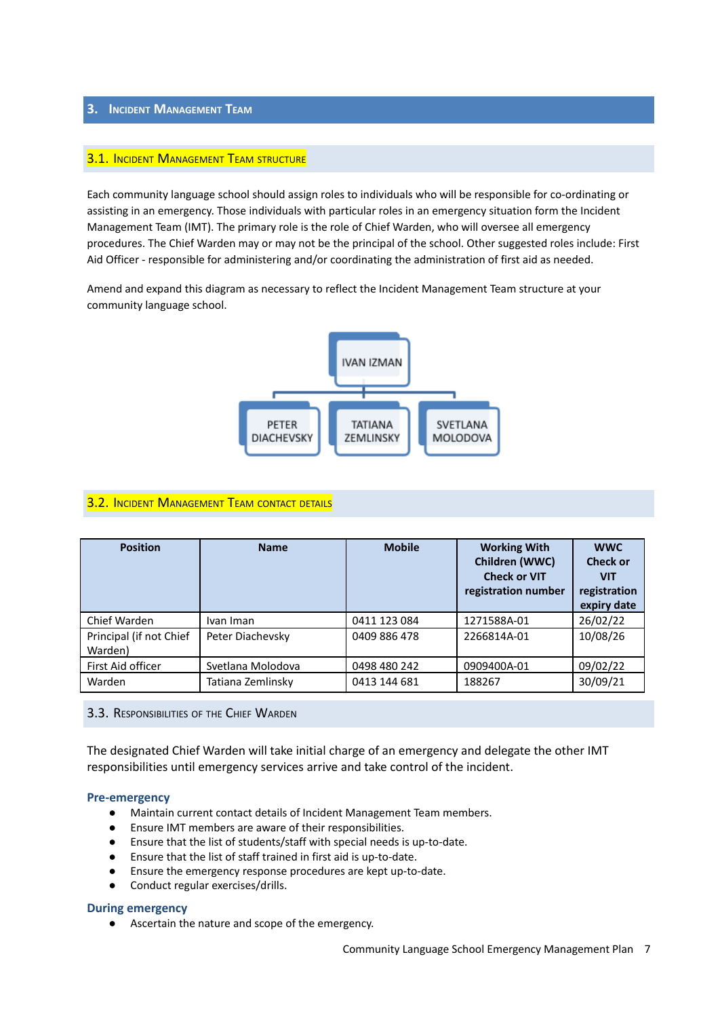#### <span id="page-6-1"></span><span id="page-6-0"></span>**3. INCIDENT MANAGEMENT TEAM**

#### **3.1. INCIDENT MANAGEMENT TEAM STRUCTURE**

Each community language school should assign roles to individuals who will be responsible for co-ordinating or assisting in an emergency. Those individuals with particular roles in an emergency situation form the Incident Management Team (IMT). The primary role is the role of Chief Warden, who will oversee all emergency procedures. The Chief Warden may or may not be the principal of the school. Other suggested roles include: First Aid Officer - responsible for administering and/or coordinating the administration of first aid as needed.

Amend and expand this diagram as necessary to reflect the Incident Management Team structure at your community language school.



#### <span id="page-6-2"></span>**3.2. INCIDENT MANAGEMENT TEAM CONTACT DETAILS**

| <b>Position</b>                    | <b>Name</b>       | <b>Mobile</b> | <b>Working With</b><br>Children (WWC)<br><b>Check or VIT</b><br>registration number | <b>WWC</b><br><b>Check or</b><br><b>VIT</b><br>registration<br>expiry date |
|------------------------------------|-------------------|---------------|-------------------------------------------------------------------------------------|----------------------------------------------------------------------------|
| Chief Warden                       | Ivan Iman         | 0411 123 084  | 1271588A-01                                                                         | 26/02/22                                                                   |
| Principal (if not Chief<br>Warden) | Peter Diachevsky  | 0409 886 478  | 2266814A-01                                                                         | 10/08/26                                                                   |
| First Aid officer                  | Svetlana Molodova | 0498 480 242  | 0909400A-01                                                                         | 09/02/22                                                                   |
| Warden                             | Tatiana Zemlinsky | 0413 144 681  | 188267                                                                              | 30/09/21                                                                   |

<span id="page-6-3"></span>3.3. RESPONSIBILITIES OF THE CHIEF WARDEN

The designated Chief Warden will take initial charge of an emergency and delegate the other IMT responsibilities until emergency services arrive and take control of the incident.

#### **Pre-emergency**

- Maintain current contact details of Incident Management Team members.
- Ensure IMT members are aware of their responsibilities.
- Ensure that the list of students/staff with special needs is up-to-date.
- Ensure that the list of staff trained in first aid is up-to-date.
- Ensure the emergency response procedures are kept up-to-date.
- Conduct regular exercises/drills.

#### **During emergency**

● Ascertain the nature and scope of the emergency.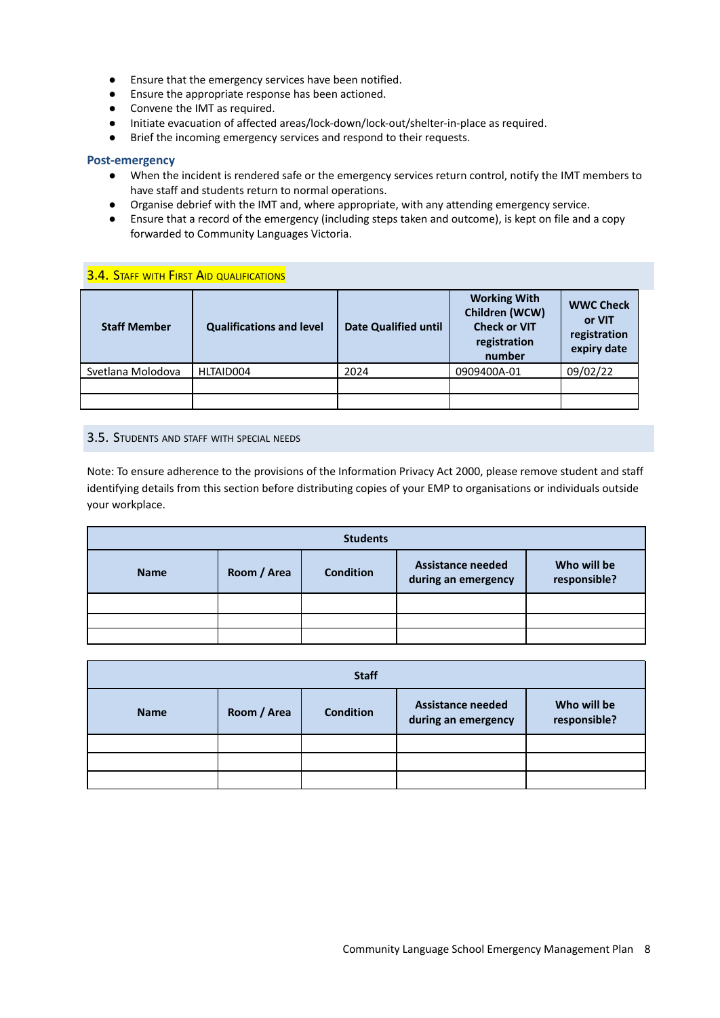- Ensure that the emergency services have been notified.
- Ensure the appropriate response has been actioned.
- Convene the IMT as required.
- Initiate evacuation of affected areas/lock-down/lock-out/shelter-in-place as required.
- Brief the incoming emergency services and respond to their requests.

#### **Post-emergency**

- When the incident is rendered safe or the emergency services return control, notify the IMT members to have staff and students return to normal operations.
- Organise debrief with the IMT and, where appropriate, with any attending emergency service.
- **●** Ensure that a record of the emergency (including steps taken and outcome), is kept on file and a copy forwarded to Community Languages Victoria.

#### <span id="page-7-0"></span>**3.4. STAFF WITH FIRST AID QUALIFICATIONS**

| <b>Staff Member</b> | <b>Qualifications and level</b> | <b>Date Qualified until</b> | <b>Working With</b><br>Children (WCW)<br><b>Check or VIT</b><br>registration<br>number | <b>WWC Check</b><br>or VIT<br>registration<br>expiry date |
|---------------------|---------------------------------|-----------------------------|----------------------------------------------------------------------------------------|-----------------------------------------------------------|
| Svetlana Molodova   | HLTAID004                       | 2024                        | 0909400A-01                                                                            | 09/02/22                                                  |
|                     |                                 |                             |                                                                                        |                                                           |
|                     |                                 |                             |                                                                                        |                                                           |

#### <span id="page-7-1"></span>3.5. STUDENTS AND STAFF WITH SPECIAL NEEDS

Note: To ensure adherence to the provisions of the Information Privacy Act 2000, please remove student and staff identifying details from this section before distributing copies of your EMP to organisations or individuals outside your workplace.

| <b>Students</b> |             |                  |                                                 |                             |
|-----------------|-------------|------------------|-------------------------------------------------|-----------------------------|
| <b>Name</b>     | Room / Area | <b>Condition</b> | <b>Assistance needed</b><br>during an emergency | Who will be<br>responsible? |
|                 |             |                  |                                                 |                             |
|                 |             |                  |                                                 |                             |
|                 |             |                  |                                                 |                             |

| <b>Staff</b> |             |                  |                                                 |                             |
|--------------|-------------|------------------|-------------------------------------------------|-----------------------------|
| <b>Name</b>  | Room / Area | <b>Condition</b> | <b>Assistance needed</b><br>during an emergency | Who will be<br>responsible? |
|              |             |                  |                                                 |                             |
|              |             |                  |                                                 |                             |
|              |             |                  |                                                 |                             |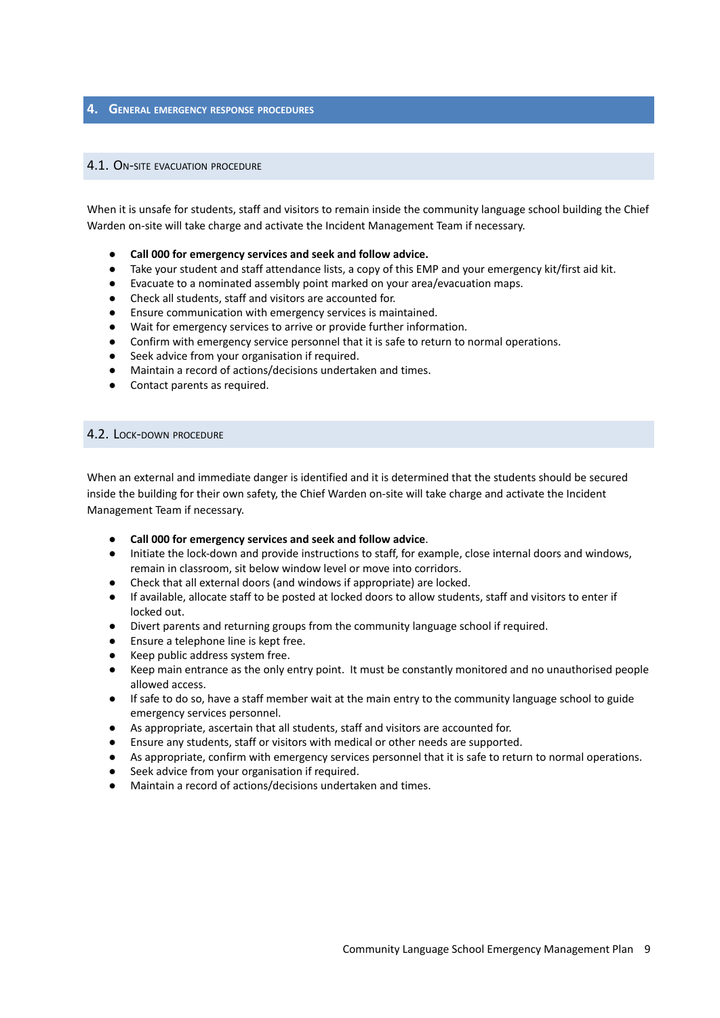#### <span id="page-8-1"></span><span id="page-8-0"></span>**4. GENERAL EMERGENCY RESPONSE PROCEDURES**

#### 4.1. ON-SITE EVACUATION PROCEDURE

When it is unsafe for students, staff and visitors to remain inside the community language school building the Chief Warden on-site will take charge and activate the Incident Management Team if necessary.

- **● Call 000 for emergency services and seek and follow advice.**
- Take your student and staff attendance lists, a copy of this EMP and your emergency kit/first aid kit.
- Evacuate to a nominated assembly point marked on your area/evacuation maps.
- Check all students, staff and visitors are accounted for.
- Ensure communication with emergency services is maintained.
- Wait for emergency services to arrive or provide further information.
- Confirm with emergency service personnel that it is safe to return to normal operations.
- Seek advice from your organisation if required.
- Maintain a record of actions/decisions undertaken and times.
- <span id="page-8-2"></span>● Contact parents as required.

#### 4.2. LOCK-DOWN PROCEDURE

When an external and immediate danger is identified and it is determined that the students should be secured inside the building for their own safety, the Chief Warden on-site will take charge and activate the Incident Management Team if necessary.

- **● Call 000 for emergency services and seek and follow advice**.
- Initiate the lock-down and provide instructions to staff, for example, close internal doors and windows, remain in classroom, sit below window level or move into corridors.
- Check that all external doors (and windows if appropriate) are locked.
- If available, allocate staff to be posted at locked doors to allow students, staff and visitors to enter if locked out.
- Divert parents and returning groups from the community language school if required.
- Ensure a telephone line is kept free.
- Keep public address system free.
- Keep main entrance as the only entry point. It must be constantly monitored and no unauthorised people allowed access.
- If safe to do so, have a staff member wait at the main entry to the community language school to guide emergency services personnel.
- As appropriate, ascertain that all students, staff and visitors are accounted for.
- Ensure any students, staff or visitors with medical or other needs are supported.
- As appropriate, confirm with emergency services personnel that it is safe to return to normal operations.
- Seek advice from your organisation if required.
- Maintain a record of actions/decisions undertaken and times.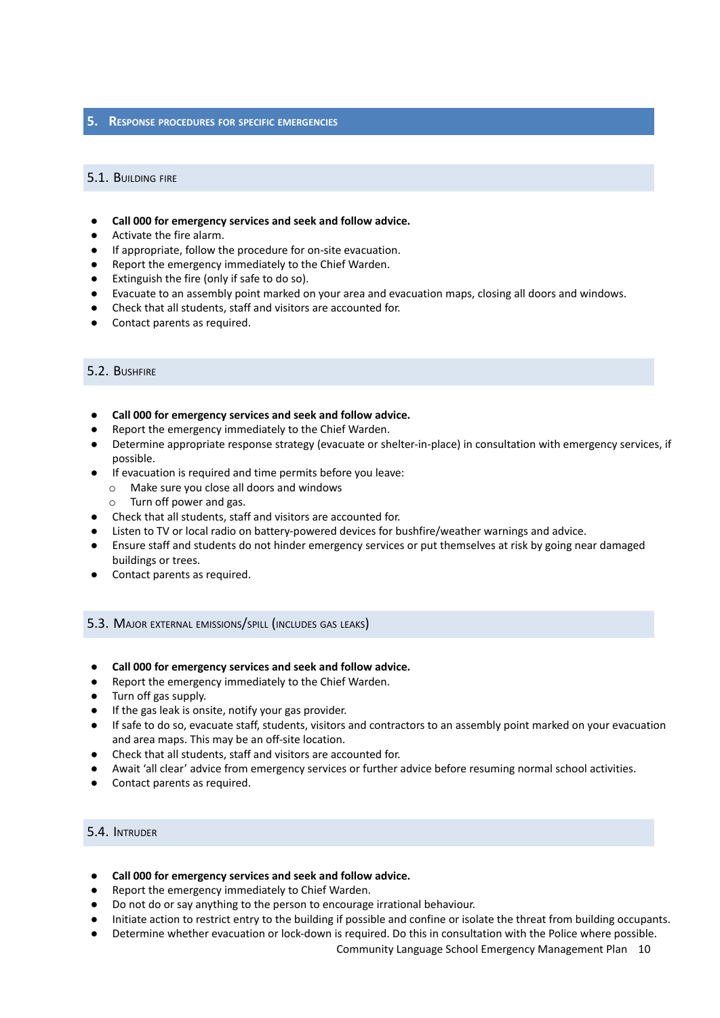#### <span id="page-9-1"></span><span id="page-9-0"></span>**5. RESPONSE PROCEDURES FOR SPECIFIC EMERGENCIES**

#### 5.1. BUILDING FIRE

- **● Call 000 for emergency services and seek and follow advice.**
- Activate the fire alarm.
- If appropriate, follow the procedure for on-site evacuation.
- Report the emergency immediately to the Chief Warden.
- Extinguish the fire (only if safe to do so).
- Evacuate to an assembly point marked on your area and evacuation maps, closing all doors and windows.
- Check that all students, staff and visitors are accounted for.
- <span id="page-9-2"></span>Contact parents as required.

#### 5.2. BUSHFIRE

- **● Call 000 for emergency services and seek and follow advice.**
- Report the emergency immediately to the Chief Warden.
- Determine appropriate response strategy (evacuate or shelter-in-place) in consultation with emergency services, if possible.
- If evacuation is required and time permits before you leave:
	- o Make sure you close all doors and windows
	- o Turn off power and gas.
- Check that all students, staff and visitors are accounted for.
- Listen to TV or local radio on battery-powered devices for bushfire/weather warnings and advice.
- Ensure staff and students do not hinder emergency services or put themselves at risk by going near damaged buildings or trees.
- <span id="page-9-3"></span>● Contact parents as required.

#### 5.3. MAJOR EXTERNAL EMISSIONS/SPILL (INCLUDES GAS LEAKS)

- **● Call 000 for emergency services and seek and follow advice.**
- Report the emergency immediately to the Chief Warden.
- Turn off gas supply.
- If the gas leak is onsite, notify your gas provider.
- If safe to do so, evacuate staff, students, visitors and contractors to an assembly point marked on your evacuation and area maps. This may be an off-site location.
- Check that all students, staff and visitors are accounted for.
- Await 'all clear' advice from emergency services or further advice before resuming normal school activities.
- <span id="page-9-4"></span>Contact parents as required.

#### 5.4. INTRUDER

- **● Call 000 for emergency services and seek and follow advice.**
- Report the emergency immediately to Chief Warden.
- Do not do or say anything to the person to encourage irrational behaviour.
- Initiate action to restrict entry to the building if possible and confine or isolate the threat from building occupants.
- Determine whether evacuation or lock-down is required. Do this in consultation with the Police where possible.

Community Language School Emergency Management Plan 10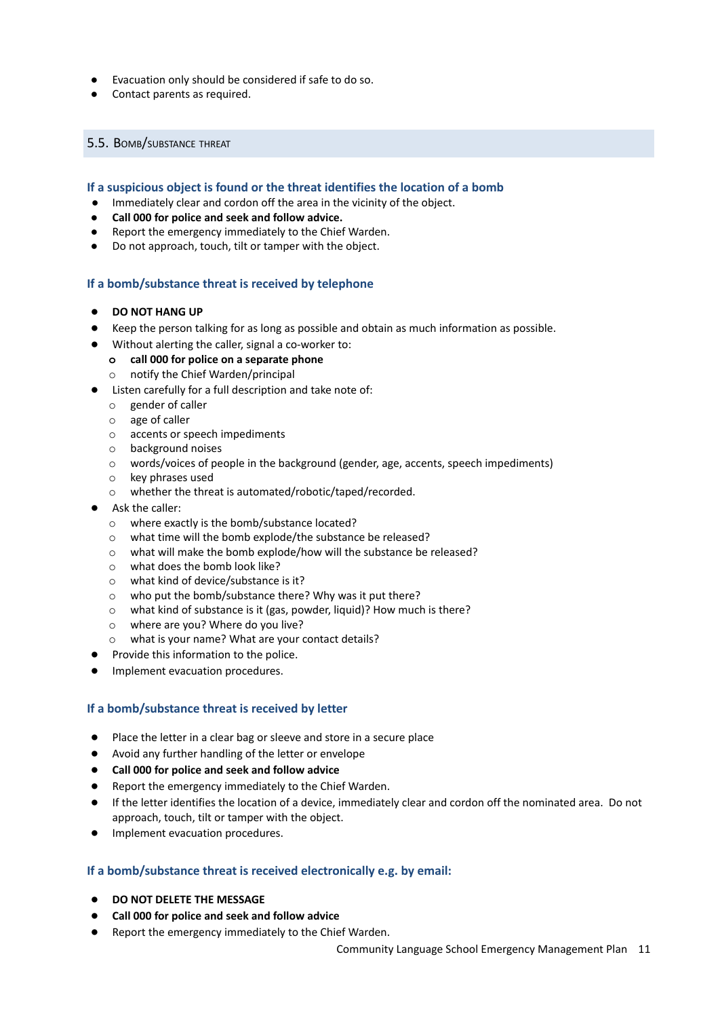- Evacuation only should be considered if safe to do so.
- <span id="page-10-0"></span>● Contact parents as required.

#### 5.5. BOMB/SUBSTANCE THREAT

#### **If a suspicious object is found or the threat identifies the location of a bomb**

- Immediately clear and cordon off the area in the vicinity of the object.
- **● Call 000 for police and seek and follow advice.**
- Report the emergency immediately to the Chief Warden.
- Do not approach, touch, tilt or tamper with the object.

#### **If a bomb/substance threat is received by telephone**

- **DO NOT HANG UP**
- Keep the person talking for as long as possible and obtain as much information as possible.
- Without alerting the caller, signal a co-worker to:
	- **o call 000 for police on a separate phone**
	- o notify the Chief Warden/principal
- Listen carefully for a full description and take note of:
	- o gender of caller
	- o age of caller
	- o accents or speech impediments
	- o background noises
	- o words/voices of people in the background (gender, age, accents, speech impediments)
	- o key phrases used
	- o whether the threat is automated/robotic/taped/recorded.
- Ask the caller:
	- o where exactly is the bomb/substance located?
	- o what time will the bomb explode/the substance be released?
	- o what will make the bomb explode/how will the substance be released?
	- o what does the bomb look like?
	- o what kind of device/substance is it?
	- o who put the bomb/substance there? Why was it put there?
	- o what kind of substance is it (gas, powder, liquid)? How much is there?
	- o where are you? Where do you live?
	- o what is your name? What are your contact details?
- Provide this information to the police.
- Implement evacuation procedures.

#### **If a bomb/substance threat is received by letter**

- Place the letter in a clear bag or sleeve and store in a secure place
- Avoid any further handling of the letter or envelope
- **● Call 000 for police and seek and follow advice**
- Report the emergency immediately to the Chief Warden.
- If the letter identifies the location of a device, immediately clear and cordon off the nominated area. Do not approach, touch, tilt or tamper with the object.
- Implement evacuation procedures.

#### **If a bomb/substance threat is received electronically e.g. by email:**

- **● DO NOT DELETE THE MESSAGE**
- **● Call 000 for police and seek and follow advice**
- Report the emergency immediately to the Chief Warden.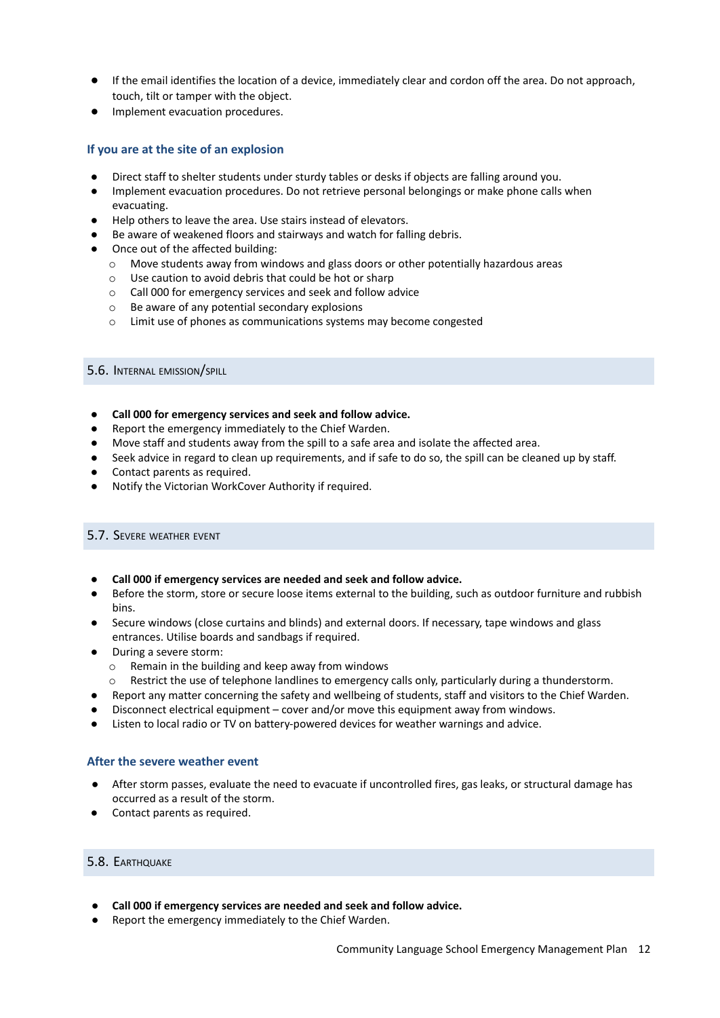- If the email identifies the location of a device, immediately clear and cordon off the area. Do not approach, touch, tilt or tamper with the object.
- Implement evacuation procedures.

#### **If you are at the site of an explosion**

- Direct staff to shelter students under sturdy tables or desks if objects are falling around you.
- Implement evacuation procedures. Do not retrieve personal belongings or make phone calls when evacuating.
- Help others to leave the area. Use stairs instead of elevators.
- Be aware of weakened floors and stairways and watch for falling debris.
- Once out of the affected building:
	- o Move students away from windows and glass doors or other potentially hazardous areas
	- o Use caution to avoid debris that could be hot or sharp
	- o Call 000 for emergency services and seek and follow advice
	- o Be aware of any potential secondary explosions
	- o Limit use of phones as communications systems may become congested

#### <span id="page-11-0"></span>5.6. INTERNAL EMISSION/SPILL

- **● Call 000 for emergency services and seek and follow advice.**
- Report the emergency immediately to the Chief Warden.
- Move staff and students away from the spill to a safe area and isolate the affected area.
- Seek advice in regard to clean up requirements, and if safe to do so, the spill can be cleaned up by staff.
- Contact parents as required.
- <span id="page-11-1"></span>Notify the Victorian WorkCover Authority if required.

#### 5.7. SEVERE WEATHER EVENT

- **● Call 000 if emergency services are needed and seek and follow advice.**
- Before the storm, store or secure loose items external to the building, such as outdoor furniture and rubbish bins.
- Secure windows (close curtains and blinds) and external doors. If necessary, tape windows and glass entrances. Utilise boards and sandbags if required.
- During a severe storm:
	- o Remain in the building and keep away from windows
	- o Restrict the use of telephone landlines to emergency calls only, particularly during a thunderstorm.
- Report any matter concerning the safety and wellbeing of students, staff and visitors to the Chief Warden.
- Disconnect electrical equipment cover and/or move this equipment away from windows.
- Listen to local radio or TV on battery-powered devices for weather warnings and advice.

#### **After the severe weather event**

- After storm passes, evaluate the need to evacuate if uncontrolled fires, gas leaks, or structural damage has occurred as a result of the storm.
- <span id="page-11-2"></span>● Contact parents as required.

#### 5.8. EARTHQUAKE

- **● Call 000 if emergency services are needed and seek and follow advice.**
- Report the emergency immediately to the Chief Warden.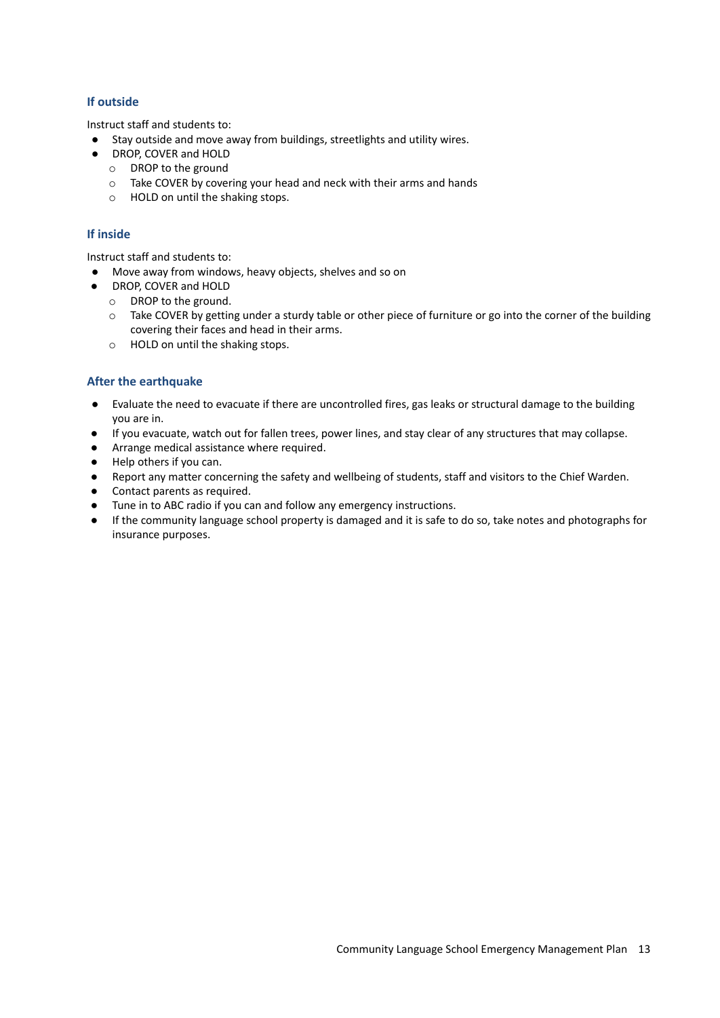#### **If outside**

Instruct staff and students to:

- Stay outside and move away from buildings, streetlights and utility wires.
- DROP, COVER and HOLD
	- o DROP to the ground
	- o Take COVER by covering your head and neck with their arms and hands
	- o HOLD on until the shaking stops.

#### **If inside**

Instruct staff and students to:

- Move away from windows, heavy objects, shelves and so on
- DROP, COVER and HOLD
	- o DROP to the ground.
	- $\circ$  Take COVER by getting under a sturdy table or other piece of furniture or go into the corner of the building covering their faces and head in their arms.
	- o HOLD on until the shaking stops.

#### **After the earthquake**

- Evaluate the need to evacuate if there are uncontrolled fires, gas leaks or structural damage to the building you are in.
- If you evacuate, watch out for fallen trees, power lines, and stay clear of any structures that may collapse.
- Arrange medical assistance where required.
- Help others if you can.
- Report any matter concerning the safety and wellbeing of students, staff and visitors to the Chief Warden.
- Contact parents as required.
- Tune in to ABC radio if you can and follow any emergency instructions.
- If the community language school property is damaged and it is safe to do so, take notes and photographs for insurance purposes.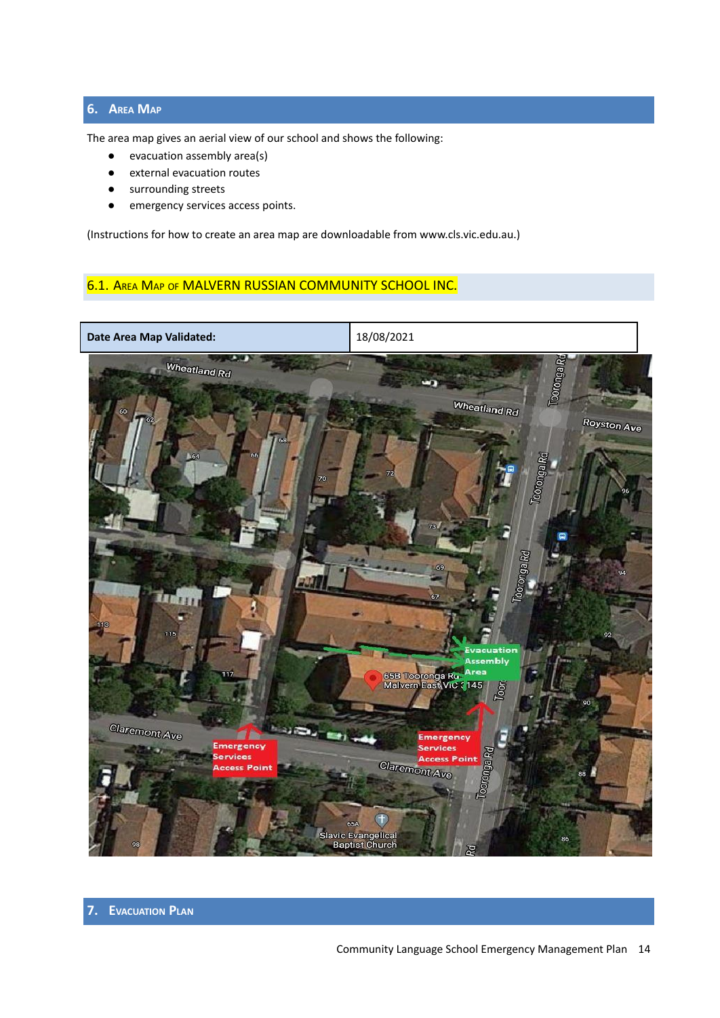### <span id="page-13-0"></span>**6. AREA MAP**

The area map gives an aerial view of our school and shows the following:

- evacuation assembly area(s)
- external evacuation routes
- surrounding streets
- emergency services access points.

(Instructions for how to create an area map are downloadable from www.cls.vic.edu.au.)

### <span id="page-13-1"></span>6.1. AREA MAP OF MALVERN RUSSIAN COMMUNITY SCHOOL INC.

<span id="page-13-2"></span>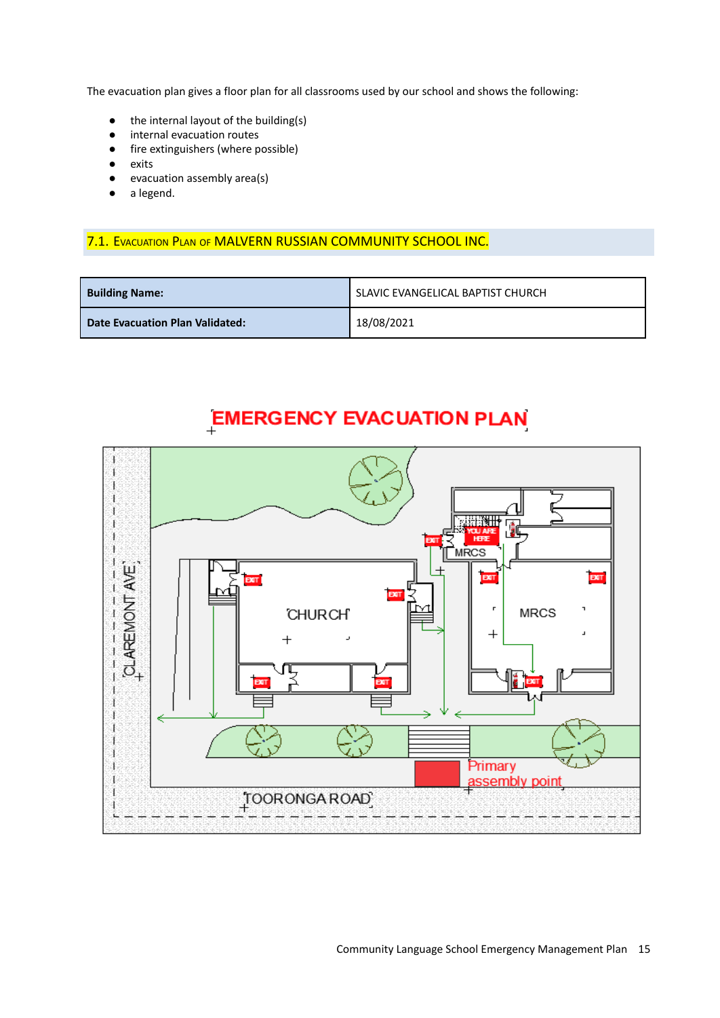The evacuation plan gives a floor plan for all classrooms used by our school and shows the following:

- the internal layout of the building(s)
- internal evacuation routes
- fire extinguishers (where possible)
- exits
- evacuation assembly area(s)
- <span id="page-14-0"></span>● a legend.

#### 7.1. EVACUATION PLAN OF MALVERN RUSSIAN COMMUNITY SCHOOL INC.

| <b>Building Name:</b>           | SLAVIC EVANGELICAL BAPTIST CHURCH |
|---------------------------------|-----------------------------------|
| Date Evacuation Plan Validated: | 18/08/2021                        |

## **EMERGENCY EVACUATION PLAN**